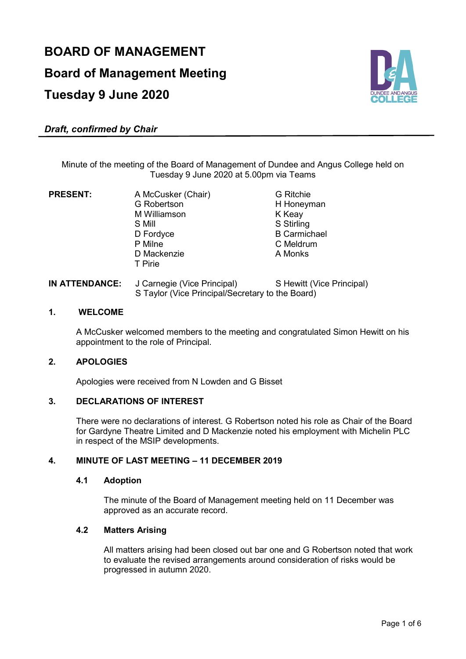# **BOARD OF MANAGEMENT Board of Management Meeting Tuesday 9 June 2020**



# *Draft, confirmed by Chair*

Minute of the meeting of the Board of Management of Dundee and Angus College held on Tuesday 9 June 2020 at 5.00pm via Teams

G Robertson M Williamson K Keay<br>
S Mill S Stirlin D Fordyce B Carmichael P Milne C Meldrum<br>
D Mackenzie C Menks D Mackenzie T Pirie

**PRESENT:** A McCusker (Chair) G Ritchie<br>G Robertson G H Honeyman S Stirling

# **IN ATTENDANCE:** J Carnegie (Vice Principal) S Hewitt (Vice Principal) S Taylor (Vice Principal/Secretary to the Board)

#### **1. WELCOME**

A McCusker welcomed members to the meeting and congratulated Simon Hewitt on his appointment to the role of Principal.

# **2. APOLOGIES**

Apologies were received from N Lowden and G Bisset

#### **3. DECLARATIONS OF INTEREST**

There were no declarations of interest. G Robertson noted his role as Chair of the Board for Gardyne Theatre Limited and D Mackenzie noted his employment with Michelin PLC in respect of the MSIP developments.

# **4. MINUTE OF LAST MEETING – 11 DECEMBER 2019**

# **4.1 Adoption**

The minute of the Board of Management meeting held on 11 December was approved as an accurate record.

#### **4.2 Matters Arising**

All matters arising had been closed out bar one and G Robertson noted that work to evaluate the revised arrangements around consideration of risks would be progressed in autumn 2020.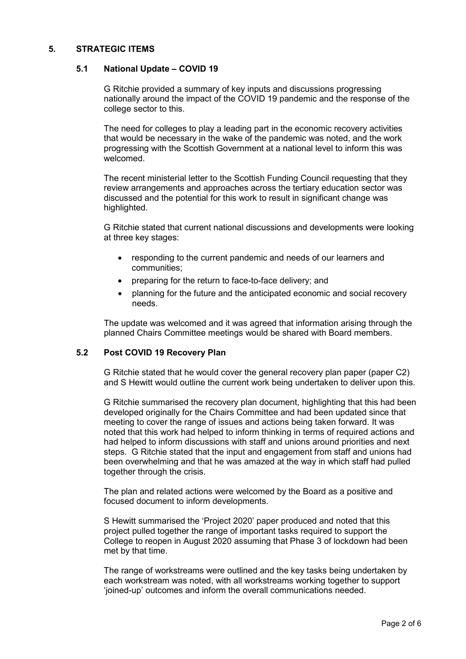# **5. STRATEGIC ITEMS**

#### **5.1 National Update – COVID 19**

G Ritchie provided a summary of key inputs and discussions progressing nationally around the impact of the COVID 19 pandemic and the response of the college sector to this.

The need for colleges to play a leading part in the economic recovery activities that would be necessary in the wake of the pandemic was noted, and the work progressing with the Scottish Government at a national level to inform this was welcomed.

The recent ministerial letter to the Scottish Funding Council requesting that they review arrangements and approaches across the tertiary education sector was discussed and the potential for this work to result in significant change was highlighted.

G Ritchie stated that current national discussions and developments were looking at three key stages:

- responding to the current pandemic and needs of our learners and communities;
- preparing for the return to face-to-face delivery; and
- planning for the future and the anticipated economic and social recovery needs.

The update was welcomed and it was agreed that information arising through the planned Chairs Committee meetings would be shared with Board members.

#### **5.2 Post COVID 19 Recovery Plan**

G Ritchie stated that he would cover the general recovery plan paper (paper C2) and S Hewitt would outline the current work being undertaken to deliver upon this.

G Ritchie summarised the recovery plan document, highlighting that this had been developed originally for the Chairs Committee and had been updated since that meeting to cover the range of issues and actions being taken forward. It was noted that this work had helped to inform thinking in terms of required actions and had helped to inform discussions with staff and unions around priorities and next steps. G Ritchie stated that the input and engagement from staff and unions had been overwhelming and that he was amazed at the way in which staff had pulled together through the crisis.

The plan and related actions were welcomed by the Board as a positive and focused document to inform developments.

S Hewitt summarised the 'Project 2020' paper produced and noted that this project pulled together the range of important tasks required to support the College to reopen in August 2020 assuming that Phase 3 of lockdown had been met by that time.

The range of workstreams were outlined and the key tasks being undertaken by each workstream was noted, with all workstreams working together to support 'joined-up' outcomes and inform the overall communications needed.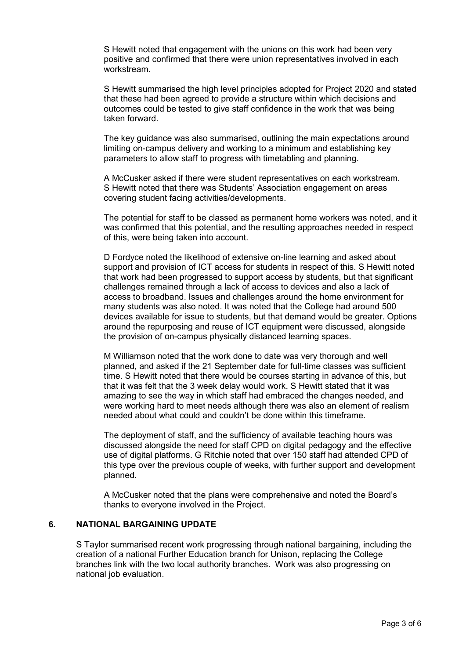S Hewitt noted that engagement with the unions on this work had been very positive and confirmed that there were union representatives involved in each workstream.

S Hewitt summarised the high level principles adopted for Project 2020 and stated that these had been agreed to provide a structure within which decisions and outcomes could be tested to give staff confidence in the work that was being taken forward.

The key guidance was also summarised, outlining the main expectations around limiting on-campus delivery and working to a minimum and establishing key parameters to allow staff to progress with timetabling and planning.

A McCusker asked if there were student representatives on each workstream. S Hewitt noted that there was Students' Association engagement on areas covering student facing activities/developments.

The potential for staff to be classed as permanent home workers was noted, and it was confirmed that this potential, and the resulting approaches needed in respect of this, were being taken into account.

D Fordyce noted the likelihood of extensive on-line learning and asked about support and provision of ICT access for students in respect of this. S Hewitt noted that work had been progressed to support access by students, but that significant challenges remained through a lack of access to devices and also a lack of access to broadband. Issues and challenges around the home environment for many students was also noted. It was noted that the College had around 500 devices available for issue to students, but that demand would be greater. Options around the repurposing and reuse of ICT equipment were discussed, alongside the provision of on-campus physically distanced learning spaces.

M Williamson noted that the work done to date was very thorough and well planned, and asked if the 21 September date for full-time classes was sufficient time. S Hewitt noted that there would be courses starting in advance of this, but that it was felt that the 3 week delay would work. S Hewitt stated that it was amazing to see the way in which staff had embraced the changes needed, and were working hard to meet needs although there was also an element of realism needed about what could and couldn't be done within this timeframe.

The deployment of staff, and the sufficiency of available teaching hours was discussed alongside the need for staff CPD on digital pedagogy and the effective use of digital platforms. G Ritchie noted that over 150 staff had attended CPD of this type over the previous couple of weeks, with further support and development planned.

A McCusker noted that the plans were comprehensive and noted the Board's thanks to everyone involved in the Project.

# **6. NATIONAL BARGAINING UPDATE**

S Taylor summarised recent work progressing through national bargaining, including the creation of a national Further Education branch for Unison, replacing the College branches link with the two local authority branches. Work was also progressing on national job evaluation.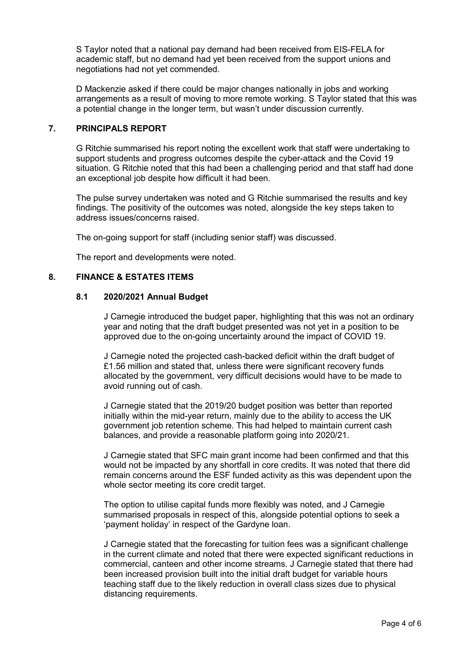S Taylor noted that a national pay demand had been received from EIS-FELA for academic staff, but no demand had yet been received from the support unions and negotiations had not yet commended.

D Mackenzie asked if there could be major changes nationally in jobs and working arrangements as a result of moving to more remote working. S Taylor stated that this was a potential change in the longer term, but wasn't under discussion currently.

# **7. PRINCIPALS REPORT**

G Ritchie summarised his report noting the excellent work that staff were undertaking to support students and progress outcomes despite the cyber-attack and the Covid 19 situation. G Ritchie noted that this had been a challenging period and that staff had done an exceptional job despite how difficult it had been.

The pulse survey undertaken was noted and G Ritchie summarised the results and key findings. The positivity of the outcomes was noted, alongside the key steps taken to address issues/concerns raised.

The on-going support for staff (including senior staff) was discussed.

The report and developments were noted.

# **8. FINANCE & ESTATES ITEMS**

#### **8.1 2020/2021 Annual Budget**

J Carnegie introduced the budget paper, highlighting that this was not an ordinary year and noting that the draft budget presented was not yet in a position to be approved due to the on-going uncertainty around the impact of COVID 19.

J Carnegie noted the projected cash-backed deficit within the draft budget of £1.56 million and stated that, unless there were significant recovery funds allocated by the government, very difficult decisions would have to be made to avoid running out of cash.

J Carnegie stated that the 2019/20 budget position was better than reported initially within the mid-year return, mainly due to the ability to access the UK government job retention scheme. This had helped to maintain current cash balances, and provide a reasonable platform going into 2020/21.

J Carnegie stated that SFC main grant income had been confirmed and that this would not be impacted by any shortfall in core credits. It was noted that there did remain concerns around the ESF funded activity as this was dependent upon the whole sector meeting its core credit target.

The option to utilise capital funds more flexibly was noted, and J Carnegie summarised proposals in respect of this, alongside potential options to seek a 'payment holiday' in respect of the Gardyne loan.

J Carnegie stated that the forecasting for tuition fees was a significant challenge in the current climate and noted that there were expected significant reductions in commercial, canteen and other income streams. J Carnegie stated that there had been increased provision built into the initial draft budget for variable hours teaching staff due to the likely reduction in overall class sizes due to physical distancing requirements.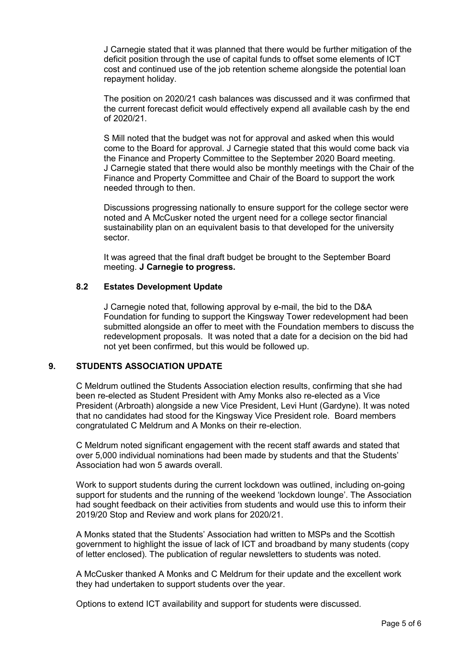J Carnegie stated that it was planned that there would be further mitigation of the deficit position through the use of capital funds to offset some elements of ICT cost and continued use of the job retention scheme alongside the potential loan repayment holiday.

The position on 2020/21 cash balances was discussed and it was confirmed that the current forecast deficit would effectively expend all available cash by the end of 2020/21.

S Mill noted that the budget was not for approval and asked when this would come to the Board for approval. J Carnegie stated that this would come back via the Finance and Property Committee to the September 2020 Board meeting. J Carnegie stated that there would also be monthly meetings with the Chair of the Finance and Property Committee and Chair of the Board to support the work needed through to then.

Discussions progressing nationally to ensure support for the college sector were noted and A McCusker noted the urgent need for a college sector financial sustainability plan on an equivalent basis to that developed for the university sector.

It was agreed that the final draft budget be brought to the September Board meeting. **J Carnegie to progress.**

# **8.2 Estates Development Update**

J Carnegie noted that, following approval by e-mail, the bid to the D&A Foundation for funding to support the Kingsway Tower redevelopment had been submitted alongside an offer to meet with the Foundation members to discuss the redevelopment proposals. It was noted that a date for a decision on the bid had not yet been confirmed, but this would be followed up.

#### **9. STUDENTS ASSOCIATION UPDATE**

C Meldrum outlined the Students Association election results, confirming that she had been re-elected as Student President with Amy Monks also re-elected as a Vice President (Arbroath) alongside a new Vice President, Levi Hunt (Gardyne). It was noted that no candidates had stood for the Kingsway Vice President role. Board members congratulated C Meldrum and A Monks on their re-election.

C Meldrum noted significant engagement with the recent staff awards and stated that over 5,000 individual nominations had been made by students and that the Students' Association had won 5 awards overall.

Work to support students during the current lockdown was outlined, including on-going support for students and the running of the weekend 'lockdown lounge'. The Association had sought feedback on their activities from students and would use this to inform their 2019/20 Stop and Review and work plans for 2020/21.

A Monks stated that the Students' Association had written to MSPs and the Scottish government to highlight the issue of lack of ICT and broadband by many students (copy of letter enclosed). The publication of regular newsletters to students was noted.

A McCusker thanked A Monks and C Meldrum for their update and the excellent work they had undertaken to support students over the year.

Options to extend ICT availability and support for students were discussed.